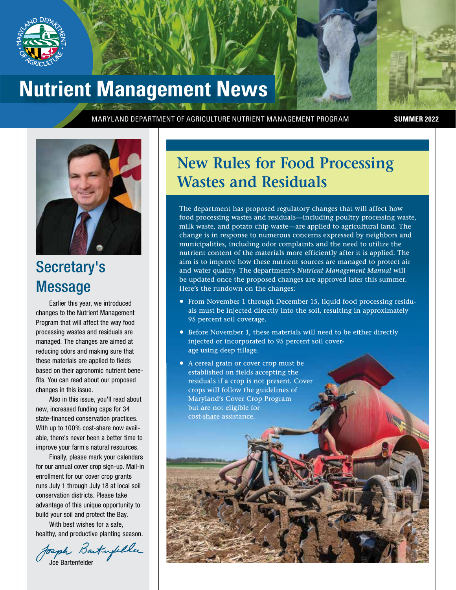

### **Nutrient Management News**

MARYLAND DEPARTMENT OF AGRICULTURE NUTRIENT MANAGEMENT PROGRAM **SUMMER 2022**



### Secretary's Message

Earlier this year, we introduced changes to the Nutrient Management Program that will affect the way food processing wastes and residuals are managed. The changes are aimed at reducing odors and making sure that these materials are applied to fields based on their agronomic nutrient benefits. You can read about our proposed changes in this issue.

Also in this issue, you'll read about new, increased funding caps for 34 state-financed conservation practices. With up to 100% cost-share now available, there's never been a better time to improve your farm's natural resources.

Finally, please mark your calendars for our annual cover crop sign-up. Mail-in enrollment for our cover crop grants runs July 1 through July 18 at local soil conservation districts. Please take advantage of this unique opportunity to build your soil and protect the Bay.

With best wishes for a safe, healthy, and productive planting season.

Joseph Bartufeller

### **New Rules for Food Processing Wastes and Residuals**

The department has proposed regulatory changes that will affect how food processing wastes and residuals—including poultry processing waste, milk waste, and potato chip waste—are applied to agricultural land. The change is in response to numerous concerns expressed by neighbors and municipalities, including odor complaints and the need to utilize the nutrient content of the materials more efficiently after it is applied. The aim is to improve how these nutrient sources are managed to protect air and water quality. The department's *Nutrient Management Manual* will be updated once the proposed changes are approved later this summer. Here's the rundown on the changes:

- From November 1 through December 15, liquid food processing residuals must be injected directly into the soil, resulting in approximately 95 percent soil coverage.
- Before November 1, these materials will need to be either directly injected or incorporated to 95 percent soil coverage using deep tillage.
- A cereal grain or cover crop must be established on fields accepting the residuals if a crop is not present. Cover crops will follow the guidelines of Maryland's Cover Crop Program but are not eligible for cost-share assistance.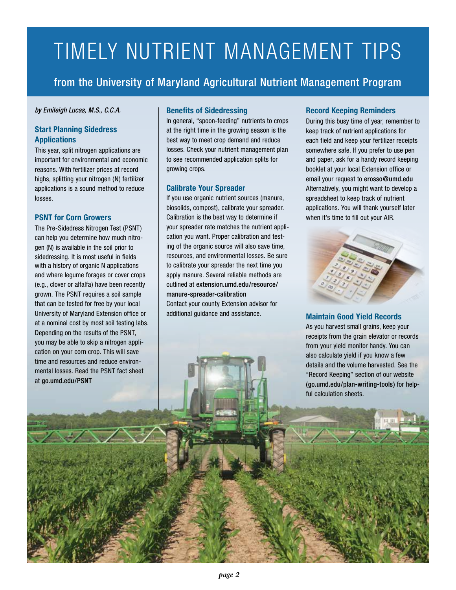## TIMELY NUTRIENT MANAGEMENT TIPS

from the University of Maryland Agricultural Nutrient Management Program

#### *by Emileigh Lucas, M.S., C.C.A.*

#### **Start Planning Sidedress Applications**

This year, split nitrogen applications are important for environmental and economic reasons. With fertilizer prices at record highs, splitting your nitrogen (N) fertilizer applications is a sound method to reduce losses.

#### **PSNT for Corn Growers**

The Pre-Sidedress Nitrogen Test (PSNT) can help you determine how much nitrogen (N) is available in the soil prior to sidedressing. It is most useful in fields with a history of organic N applications and where legume forages or cover crops (e.g., clover or alfalfa) have been recently grown. The PSNT requires a soil sample that can be tested for free by your local University of Maryland Extension office or at a nominal cost by most soil testing labs. Depending on the results of the PSNT, you may be able to skip a nitrogen application on your corn crop. This will save time and resources and reduce environmental losses. Read the PSNT fact sheet at go.umd.edu/PSNT

### **Benefits of Sidedressing**

In general, "spoon-feeding" nutrients to crops at the right time in the growing season is the best way to meet crop demand and reduce losses. Check your nutrient management plan to see recommended application splits for growing crops.

#### **Calibrate Your Spreader**

If you use organic nutrient sources (manure, biosolids, compost), calibrate your spreader. Calibration is the best way to determine if your spreader rate matches the nutrient application you want. Proper calibration and testing of the organic source will also save time, resources, and environmental losses. Be sure to calibrate your spreader the next time you apply manure. Several reliable methods are outlined at extension.umd.edu/resource/ manure-spreader-calibration Contact your county Extension advisor for additional guidance and assistance.

### **Record Keeping Reminders**

During this busy time of year, remember to keep track of nutrient applications for each field and keep your fertilizer receipts somewhere safe. If you prefer to use pen and paper, ask for a handy record keeping booklet at your local Extension office or email your request to erosso@umd.edu Alternatively, you might want to develop a spreadsheet to keep track of nutrient applications. You will thank yourself later when it's time to fill out your AIR.



**Maintain Good Yield Records**  As you harvest small grains, keep your receipts from the grain elevator or records from your yield monitor handy. You can also calculate yield if you know a few details and the volume harvested. See the "Record Keeping" section of our website (go.umd.edu/plan-writing-tools) for helpful calculation sheets.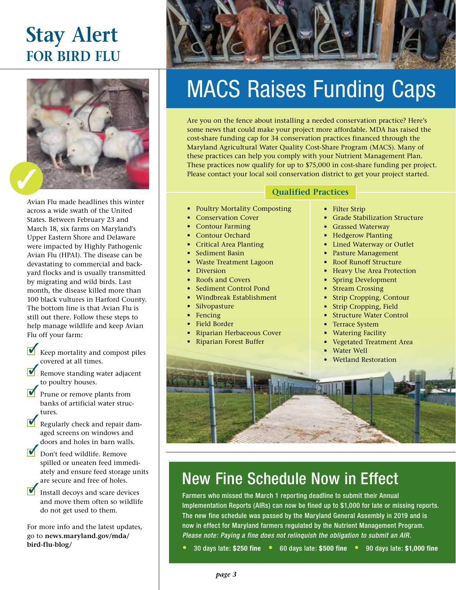### **Stay Alert FOR BIRD FLU**



Avian Flu made headlines this winter across a wide swath of the United States. Between February 23 and March 18, six farms on Maryland's Upper Eastern Shore and Delaware were impacted by Highly Pathogenic Avian Flu (HPAI). The disease can be devastating to commercial and backyard flocks and is usually transmitted by migrating and wild birds. Last month, the disease killed more than 100 black vultures in Harford County. The bottom line is that Avian Flu is still out there. Follow these steps to help manage wildlife and keep Avian Flu off your farm:

- Keep mortality and compost piles covered at all times.  $\blacktriangledown$
- Remove standing water adjacent to poultry houses.
- Prune or remove plants from banks of artificial water structures. 3
- Regularly check and repair damaged screens on windows and doors and holes in barn walls.  $\blacklozenge$
- Don't feed wildlife. Remove spilled or uneaten feed immediately and ensure feed storage units are secure and free of holes.  $\overline{\mathbf{v}}$
- Install decoys and scare devices and move them often so wildlife do not get used to them.  $\overline{\mathbf{v}}$

For more info and the latest updates, go to **news.maryland.gov/mda/ bird-flu-blog/**



# MACS Raises Funding Caps

Are you on the fence about installing a needed conservation practice? Here's some news that could make your project more affordable. MDA has raised the cost-share funding cap for 34 conservation practices financed through the Maryland Agricultural Water Quality Cost-Share Program (MACS). Many of these practices can help you comply with your Nutrient Management Plan. These practices now qualify for up to \$75,000 in cost-share funding per project. Please contact your local soil conservation district to get your project started.

### **Qualified Practices**

- Poultry Mortality Composting
- Conservation Cover
- Contour Farming
- Contour Orchard
- Critical Area Planting
- Sediment Basin
- Waste Treatment Lagoon
- Diversion
- Roofs and Covers
- Sediment Control Pond
- Windbreak Establishment
- **Silvopasture**
- **Fencing**
- Field Border
- Riparian Herbaceous Cover
- Riparian Forest Buffer
- **Filter Strip**
- Grade Stabilization Structure
- Grassed Waterway
- Hedgerow Planting
- Lined Waterway or Outlet
- Pasture Management
- Roof Runoff Structure
- Heavy Use Area Protection
- Spring Development
- **Stream Crossing**
- Strip Cropping, Contour
- Strip Cropping, Field
- Structure Water Control
- **Terrace System**
- Watering Facility
- Vegetated Treatment Area
- Water Well
- Wetland Restoration



### New Fine Schedule Now in Effect

Farmers who missed the March 1 reporting deadline to submit their Annual Implementation Reports (AIRs) can now be fined up to \$1,000 for late or missing reports. The new fine schedule was passed by the Maryland General Assembly in 2019 and is now in effect for Maryland farmers regulated by the Nutrient Management Program. *Please note: Paying a fine does not relinquish the obligation to submit an AIR.*

• 30 days late: **\$250 fine** • 60 days late: **\$500 fine** • 90 days late: **\$1,000 fine**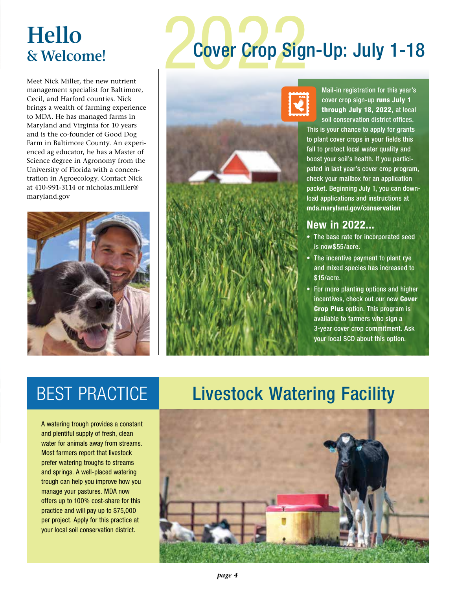### **Hello & Welcome!**

# **2 Cover Crop Sig** Cover Crop Sign-Up: July 1-18

Meet Nick Miller, the new nutrient management specialist for Baltimore, Cecil, and Harford counties. Nick brings a wealth of farming experience to MDA. He has managed farms in Maryland and Virginia for 10 years and is the co-founder of Good Dog Farm in Baltimore County. An experienced ag educator, he has a Master of Science degree in Agronomy from the University of Florida with a concentration in Agroecology. Contact Nick at 410-991-3114 or nicholas.miller@ maryland.gov





Mail-in registration for this year's cover crop sign-up runs July 1 through July 18, 2022, at local soil conservation district offices.

This is your chance to apply for grants to plant cover crops in your fields this fall to protect local water quality and boost your soil's health. If you participated in last year's cover crop program, check your mailbox for an application packet. Beginning July 1, you can download applications and instructions at **mda.maryland.gov/conservation** 

### **New in 2022...**

- The base rate for incorporated seed is now\$55/acre.
- The incentive payment to plant rye and mixed species has increased to \$15/acre.
- For more planting options and higher incentives, check out our new Cover Crop Plus option. This program is available to farmers who sign a 3-year cover crop commitment. Ask your local SCD about this option.

A watering trough provides a constant and plentiful supply of fresh, clean water for animals away from streams. Most farmers report that livestock prefer watering troughs to streams and springs. A well-placed watering trough can help you improve how you manage your pastures. MDA now offers up to 100% cost-share for this practice and will pay up to \$75,000 per project. Apply for this practice at your local soil conservation district.

### BEST PRACTICE Livestock Watering Facility

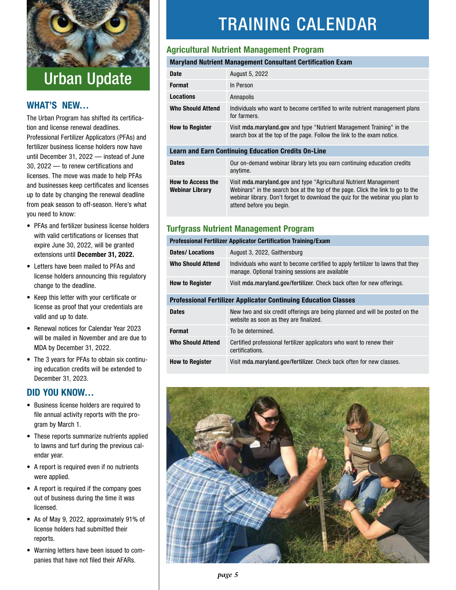

### Urban Update

### **WHAT'S NEW…**

The Urban Program has shifted its certification and license renewal deadlines. Professional Fertilizer Applicators (PFAs) and fertilizer business license holders now have until December 31, 2022 — instead of June 30, 2022 — to renew certifications and licenses. The move was made to help PFAs and businesses keep certificates and licenses up to date by changing the renewal deadline from peak season to off-season. Here's what you need to know:

- PFAs and fertilizer business license holders with valid certifications or licenses that expire June 30, 2022, will be granted extensions until **December 31, 2022.**
- Letters have been mailed to PFAs and license holders announcing this regulatory change to the deadline.
- Keep this letter with your certificate or license as proof that your credentials are valid and up to date.
- Renewal notices for Calendar Year 2023 will be mailed in November and are due to MDA by December 31, 2022.
- The 3 years for PFAs to obtain six continuing education credits will be extended to December 31, 2023.

### **DID YOU KNOW…**

- Business license holders are required to file annual activity reports with the program by March 1.
- These reports summarize nutrients applied to lawns and turf during the previous calendar year.
- A report is required even if no nutrients were applied.
- A report is required if the company goes out of business during the time it was licensed.
- As of May 9, 2022, approximately 91% of license holders had submitted their reports.
- Warning letters have been issued to companies that have not filed their AFARs.

### TRAINING CALENDAR

### **Agricultural Nutrient Management Program**

### **Maryland Nutrient Management Consultant Certification Exam**

| <b>Date</b>                                                | August 5, 2022                                                                                                                                                                                                                                                      |  |
|------------------------------------------------------------|---------------------------------------------------------------------------------------------------------------------------------------------------------------------------------------------------------------------------------------------------------------------|--|
| <b>Format</b>                                              | In Person                                                                                                                                                                                                                                                           |  |
| Locations                                                  | Annapolis                                                                                                                                                                                                                                                           |  |
| <b>Who Should Attend</b>                                   | Individuals who want to become certified to write nutrient management plans<br>for farmers.                                                                                                                                                                         |  |
| <b>How to Register</b>                                     | Visit mda.maryland.gov and type "Nutrient Management Training" in the<br>search box at the top of the page. Follow the link to the exam notice.                                                                                                                     |  |
| <b>Learn and Earn Continuing Education Credits On-Line</b> |                                                                                                                                                                                                                                                                     |  |
| <b>Dates</b>                                               | Our on-demand webinar library lets you earn continuing education credits<br>anytime.                                                                                                                                                                                |  |
| <b>How to Access the</b><br>Webinar Library                | Visit mda.maryland.gov and type "Agricultural Nutrient Management"<br>Webinars" in the search box at the top of the page. Click the link to go to the<br>webinar library. Don't forget to download the quiz for the webinar you plan to<br>attend before you begin. |  |

### **Turfgrass Nutrient Management Program**

| <b>Professional Fertilizer Applicator Certification Training/Exam</b>  |                                                                                                                                     |
|------------------------------------------------------------------------|-------------------------------------------------------------------------------------------------------------------------------------|
| <b>Dates/Locations</b>                                                 | August 3, 2022, Gaithersburg                                                                                                        |
| <b>Who Should Attend</b>                                               | Individuals who want to become certified to apply fertilizer to lawns that they<br>manage. Optional training sessions are available |
| <b>How to Register</b>                                                 | Visit mda.maryland.gov/fertilizer. Check back often for new offerings.                                                              |
| <b>Professional Fertilizer Applicator Continuing Education Classes</b> |                                                                                                                                     |
| <b>Dates</b>                                                           | New two and six credit offerings are being planned and will be posted on the<br>website as soon as they are finalized.              |
| <b>Format</b>                                                          | To be determined.                                                                                                                   |
| <b>Who Should Attend</b>                                               | Certified professional fertilizer applicators who want to renew their<br>certifications.                                            |
| <b>How to Register</b>                                                 | Visit mda.maryland.gov/fertilizer. Check back often for new classes.                                                                |